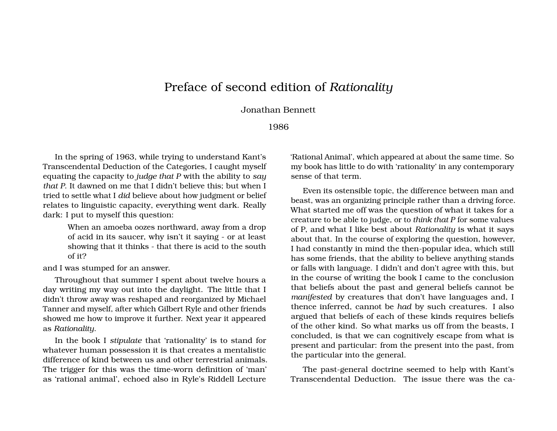## Preface of second edition of *Rationality*

## Jonathan Bennett

## 1986

In the spring of 1963, while trying to understand Kant's Transcendental Deduction of the Categories, I caught myself equating the capacity to *judge that P* with the ability to *say that P*. It dawned on me that I didn't believe this; but when I tried to settle what I *did* believe about how judgment or belief relates to linguistic capacity, everything went dark. Really dark: I put to myself this question:

> When an amoeba oozes northward, away from a drop of acid in its saucer, why isn't it saying - or at least showing that it thinks - that there is acid to the south of it?

and I was stumped for an answer.

Throughout that summer I spent about twelve hours a day writing my way out into the daylight. The little that I didn't throw away was reshaped and reorganized by Michael Tanner and myself, after which Gilbert Ryle and other friends showed me how to improve it further. Next year it appeared as *Rationality*.

In the book I *stipulate* that 'rationality' is to stand for whatever human possession it is that creates a mentalistic difference of kind between us and other terrestrial animals. The trigger for this was the time-worn definition of 'man' as 'rational animal', echoed also in Ryle's Riddell Lecture

'Rational Animal', which appeared at about the same time. So my book has little to do with 'rationality' in any contemporary sense of that term.

Even its ostensible topic, the difference between man and beast, was an organizing principle rather than a driving force. What started me off was the question of what it takes for a creature to be able to judge, or to *think that P* for some values of P, and what I like best about *Rationality* is what it says about that. In the course of exploring the question, however, I had constantly in mind the then-popular idea, which still has some friends, that the ability to believe anything stands or falls with language. I didn't and don't agree with this, but in the course of writing the book I came to the conclusion that beliefs about the past and general beliefs cannot be *manifested* by creatures that don't have languages and, I thence inferred, cannot be *had* by such creatures. I also argued that beliefs of each of these kinds requires beliefs of the other kind. So what marks us off from the beasts, I concluded, is that we can cognitively escape from what is present and particular: from the present into the past, from the particular into the general.

The past-general doctrine seemed to help with Kant's Transcendental Deduction. The issue there was the ca